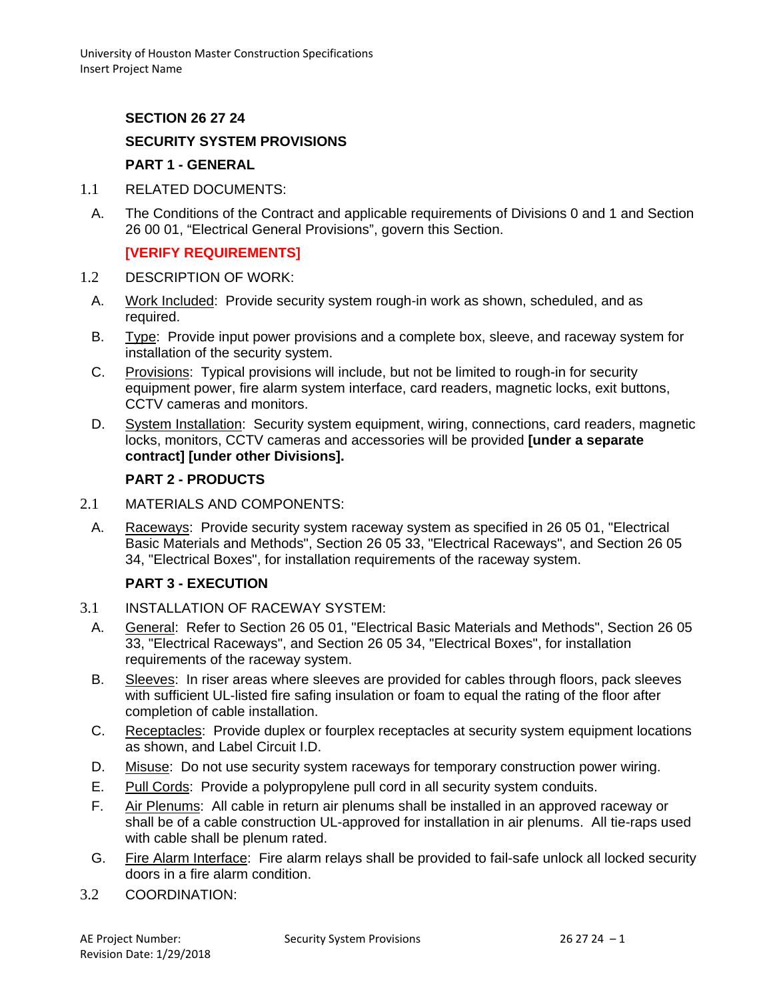### **SECTION 26 27 24**

# **SECURITY SYSTEM PROVISIONS**

#### **PART 1 - GENERAL**

- 1.1 RELATED DOCUMENTS:
	- A. The Conditions of the Contract and applicable requirements of Divisions 0 and 1 and Section 26 00 01, "Electrical General Provisions", govern this Section.

## **[VERIFY REQUIREMENTS]**

- 1.2 DESCRIPTION OF WORK:
	- A. Work Included: Provide security system rough-in work as shown, scheduled, and as required.
	- B. Type: Provide input power provisions and a complete box, sleeve, and raceway system for installation of the security system.
	- C. Provisions: Typical provisions will include, but not be limited to rough-in for security equipment power, fire alarm system interface, card readers, magnetic locks, exit buttons, CCTV cameras and monitors.
	- D. System Installation: Security system equipment, wiring, connections, card readers, magnetic locks, monitors, CCTV cameras and accessories will be provided **[under a separate contract] [under other Divisions].**

#### **PART 2 - PRODUCTS**

- 2.1 MATERIALS AND COMPONENTS:
	- A. Raceways: Provide security system raceway system as specified in 26 05 01, "Electrical Basic Materials and Methods", Section 26 05 33, "Electrical Raceways", and Section 26 05 34, "Electrical Boxes", for installation requirements of the raceway system.

## **PART 3 - EXECUTION**

- 3.1 INSTALLATION OF RACEWAY SYSTEM:
	- A. General: Refer to Section 26 05 01, "Electrical Basic Materials and Methods", Section 26 05 33, "Electrical Raceways", and Section 26 05 34, "Electrical Boxes", for installation requirements of the raceway system.
	- B. Sleeves: In riser areas where sleeves are provided for cables through floors, pack sleeves with sufficient UL-listed fire safing insulation or foam to equal the rating of the floor after completion of cable installation.
	- C. Receptacles: Provide duplex or fourplex receptacles at security system equipment locations as shown, and Label Circuit I.D.
	- D. Misuse: Do not use security system raceways for temporary construction power wiring.
	- E. Pull Cords: Provide a polypropylene pull cord in all security system conduits.
	- F. Air Plenums: All cable in return air plenums shall be installed in an approved raceway or shall be of a cable construction UL-approved for installation in air plenums. All tie-raps used with cable shall be plenum rated.
	- G. Fire Alarm Interface: Fire alarm relays shall be provided to fail-safe unlock all locked security doors in a fire alarm condition.
- 3.2 COORDINATION: